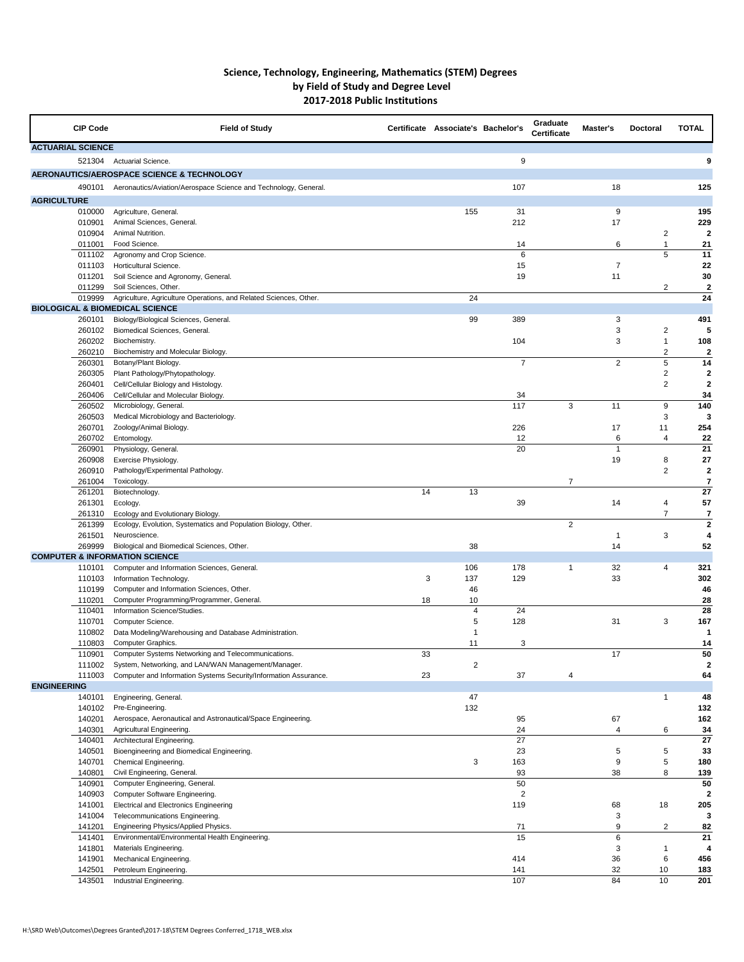## **Science, Technology, Engineering, Mathematics (STEM) Degrees by Field of Study and Degree Level 2017-2018 Public Institutions**

| <b>CIP Code</b>          | <b>Field of Study</b>                                                                  |    | Certificate Associate's Bachelor's |                       | Graduate<br><b>Certificate</b> | Master's       | <b>Doctoral</b> | <b>TOTAL</b>         |
|--------------------------|----------------------------------------------------------------------------------------|----|------------------------------------|-----------------------|--------------------------------|----------------|-----------------|----------------------|
| <b>ACTUARIAL SCIENCE</b> |                                                                                        |    |                                    |                       |                                |                |                 |                      |
| 521304                   | <b>Actuarial Science.</b>                                                              |    |                                    | 9                     |                                |                |                 | 9                    |
|                          | AERONAUTICS/AEROSPACE SCIENCE & TECHNOLOGY                                             |    |                                    |                       |                                |                |                 |                      |
| 490101                   | Aeronautics/Aviation/Aerospace Science and Technology, General.                        |    |                                    | 107                   |                                | 18             |                 | 125                  |
| <b>AGRICULTURE</b>       |                                                                                        |    |                                    |                       |                                |                |                 |                      |
| 010000                   | Agriculture, General.                                                                  |    | 155                                | 31                    |                                | 9              |                 | 195                  |
| 010901<br>010904         | Animal Sciences, General.<br>Animal Nutrition.                                         |    |                                    | 212                   |                                | 17             | 2               | 229<br>$\mathbf{2}$  |
| 011001                   | Food Science.                                                                          |    |                                    | 14                    |                                | 6              |                 | 21                   |
| 011102                   | Agronomy and Crop Science.                                                             |    |                                    | $6\phantom{1}6$       |                                |                | 5               | 11                   |
| 011103                   | Horticultural Science.                                                                 |    |                                    | 15                    |                                | $\overline{7}$ |                 | 22                   |
| 011201                   | Soil Science and Agronomy, General.                                                    |    |                                    | 19                    |                                | 11             |                 | 30                   |
| 011299                   | Soil Sciences, Other.                                                                  |    |                                    |                       |                                |                | $\overline{2}$  | $\boldsymbol{2}$     |
| 019999                   | Agriculture, Agriculture Operations, and Related Sciences, Other.                      |    | 24                                 |                       |                                |                |                 | 24                   |
| 260101                   | <b>BIOLOGICAL &amp; BIOMEDICAL SCIENCE</b><br>Biology/Biological Sciences, General.    |    | 99                                 | 389                   |                                | 3              |                 | 491                  |
| 260102                   | Biomedical Sciences, General.                                                          |    |                                    |                       |                                | 3              | 2               | 5                    |
| 260202                   | Biochemistry.                                                                          |    |                                    | 104                   |                                | 3              |                 | 108                  |
| 260210                   | Biochemistry and Molecular Biology.                                                    |    |                                    |                       |                                |                | 2               | $\boldsymbol{2}$     |
| 260301                   | Botany/Plant Biology.                                                                  |    |                                    | $\overline{7}$        |                                | $\overline{2}$ | 5               | 14                   |
| 260305                   | Plant Pathology/Phytopathology.                                                        |    |                                    |                       |                                |                | 2               | $\boldsymbol{2}$     |
| 260401                   | Cell/Cellular Biology and Histology.                                                   |    |                                    |                       |                                |                | $\overline{2}$  | $\mathbf{2}$         |
| 260406                   | Cell/Cellular and Molecular Biology.                                                   |    |                                    | 34                    |                                |                |                 | 34                   |
| 260502<br>260503         | Microbiology, General.<br>Medical Microbiology and Bacteriology.                       |    |                                    | 117                   | 3                              | 11             | 9<br>3          | 140<br>3             |
| 260701                   | Zoology/Animal Biology.                                                                |    |                                    | 226                   |                                | 17             | 11              | 254                  |
| 260702                   | Entomology.                                                                            |    |                                    | 12                    |                                | 6              | 4               | 22                   |
| 260901                   | Physiology, General.                                                                   |    |                                    | 20                    |                                | -1             |                 | 21                   |
| 260908                   | Exercise Physiology.                                                                   |    |                                    |                       |                                | 19             | 8               | 27                   |
| 260910                   | Pathology/Experimental Pathology.                                                      |    |                                    |                       |                                |                | $\mathbf{2}$    | $\mathbf{2}$         |
| 261004                   | Toxicology.                                                                            |    |                                    |                       | $\overline{7}$                 |                |                 | $\overline{7}$       |
| 261201                   | Biotechnology.                                                                         | 14 | 13                                 |                       |                                |                |                 | 27                   |
| 261301<br>261310         | Ecology.<br>Ecology and Evolutionary Biology.                                          |    |                                    | 39                    |                                | 14             | 4               | 57<br>$\overline{7}$ |
| 261399                   | Ecology, Evolution, Systematics and Population Biology, Other.                         |    |                                    |                       | $\overline{2}$                 |                |                 | $\boldsymbol{2}$     |
| 261501                   | Neuroscience.                                                                          |    |                                    |                       |                                |                | 3               | 4                    |
| 269999                   | Biological and Biomedical Sciences, Other.                                             |    | 38                                 |                       |                                | 14             |                 | 52                   |
|                          | <b>COMPUTER &amp; INFORMATION SCIENCE</b>                                              |    |                                    |                       |                                |                |                 |                      |
| 110101                   | Computer and Information Sciences, General.                                            |    | 106                                | 178                   | 1                              | 32             | 4               | 321                  |
| 110103                   | Information Technology.                                                                | 3  | 137                                | 129                   |                                | 33             |                 | 302                  |
| 110199                   | Computer and Information Sciences, Other.                                              |    | 46                                 |                       |                                |                |                 | 46                   |
| 110201<br>110401         | Computer Programming/Programmer, General.<br>Information Science/Studies.              | 18 | 10<br>$\overline{4}$               | 24                    |                                |                |                 | 28<br>28             |
| 110701                   | Computer Science.                                                                      |    | 5                                  | 128                   |                                | 31             | 3               | 167                  |
| 110802                   | Data Modeling/Warehousing and Database Administration.                                 |    |                                    |                       |                                |                |                 |                      |
| 110803                   | Computer Graphics.                                                                     |    | 11                                 | 3                     |                                |                |                 | 14                   |
| 110901                   | Computer Systems Networking and Telecommunications.                                    | 33 |                                    |                       |                                | 17             |                 | 50                   |
| 111002                   | System, Networking, and LAN/WAN Management/Manager.                                    |    | 2                                  |                       |                                |                |                 | $\mathbf{2}$         |
| 111003                   | Computer and Information Systems Security/Information Assurance.                       | 23 |                                    | 37                    | 4                              |                |                 | 64                   |
| <b>ENGINEERING</b>       |                                                                                        |    |                                    |                       |                                |                |                 |                      |
| 140101<br>140102         | Engineering, General.<br>Pre-Engineering.                                              |    | 47<br>132                          |                       |                                |                |                 | 48<br>132            |
| 140201                   | Aerospace, Aeronautical and Astronautical/Space Engineering.                           |    |                                    | 95                    |                                | 67             |                 | 162                  |
| 140301                   | Agricultural Engineering.                                                              |    |                                    | 24                    |                                | 4              | 6               | 34                   |
| 140401                   | Architectural Engineering.                                                             |    |                                    | 27                    |                                |                |                 | 27                   |
| 140501                   | Bioengineering and Biomedical Engineering.                                             |    |                                    | 23                    |                                | 5              | 5               | 33                   |
| 140701                   | Chemical Engineering.                                                                  |    | 3                                  | 163                   |                                | 9              | 5               | 180                  |
| 140801                   | Civil Engineering, General.                                                            |    |                                    | 93                    |                                | 38             | 8               | 139                  |
| 140901                   | Computer Engineering, General.                                                         |    |                                    | 50                    |                                |                |                 | 50                   |
| 140903<br>141001         | <b>Computer Software Engineering.</b><br><b>Electrical and Electronics Engineering</b> |    |                                    | $\overline{2}$<br>119 |                                | 68             | 18              | $\mathbf{2}$<br>205  |
| 141004                   | Telecommunications Engineering.                                                        |    |                                    |                       |                                | 3              |                 | 3                    |
| 141201                   | Engineering Physics/Applied Physics.                                                   |    |                                    | 71                    |                                | 9              | 2               | 82                   |
| 141401                   | Environmental/Environmental Health Engineering.                                        |    |                                    | 15                    |                                | $\,6$          |                 | 21                   |
| 141801                   | Materials Engineering.                                                                 |    |                                    |                       |                                | 3              |                 | 4                    |
| 141901                   | Mechanical Engineering.                                                                |    |                                    | 414                   |                                | 36             | 6               | 456                  |
| 142501                   | Petroleum Engineering.                                                                 |    |                                    | 141                   |                                | 32             | 10              | 183                  |
| 143501                   | Industrial Engineering.                                                                |    |                                    | 107                   |                                | 84             | 10              | 201                  |

H:\SRD Web\Outcomes\Degrees Granted\2017-18\STEM Degrees Conferred\_1718\_WEB.xlsx